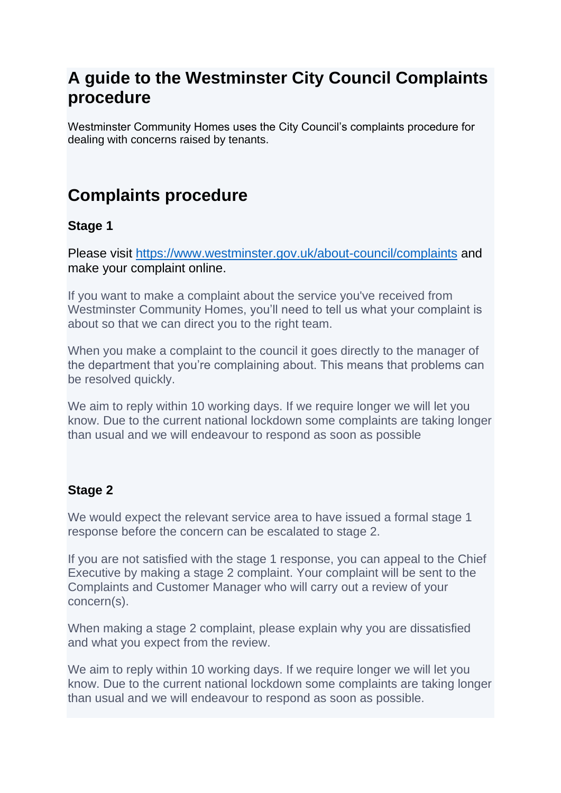## **A guide to the Westminster City Council Complaints procedure**

Westminster Community Homes uses the City Council's complaints procedure for dealing with concerns raised by tenants.

# **Complaints procedure**

### **Stage 1**

Please visit<https://www.westminster.gov.uk/about-council/complaints> and make your complaint online.

If you want to make a complaint about the service you've received from Westminster Community Homes, you'll need to tell us what your complaint is about so that we can direct you to the right team.

When you make a complaint to the council it goes directly to the manager of the department that you're complaining about. This means that problems can be resolved quickly.

We aim to reply within 10 working days. If we require longer we will let you know. Due to the current national lockdown some complaints are taking longer than usual and we will endeavour to respond as soon as possible

#### **Stage 2**

We would expect the relevant service area to have issued a formal stage 1 response before the concern can be escalated to stage 2.

If you are not satisfied with the stage 1 response, you can appeal to the Chief Executive by making a stage 2 complaint. Your complaint will be sent to the Complaints and Customer Manager who will carry out a review of your concern(s).

When making a stage 2 complaint, please explain why you are dissatisfied and what you expect from the review.

We aim to reply within 10 working days. If we require longer we will let you know. Due to the current national lockdown some complaints are taking longer than usual and we will endeavour to respond as soon as possible.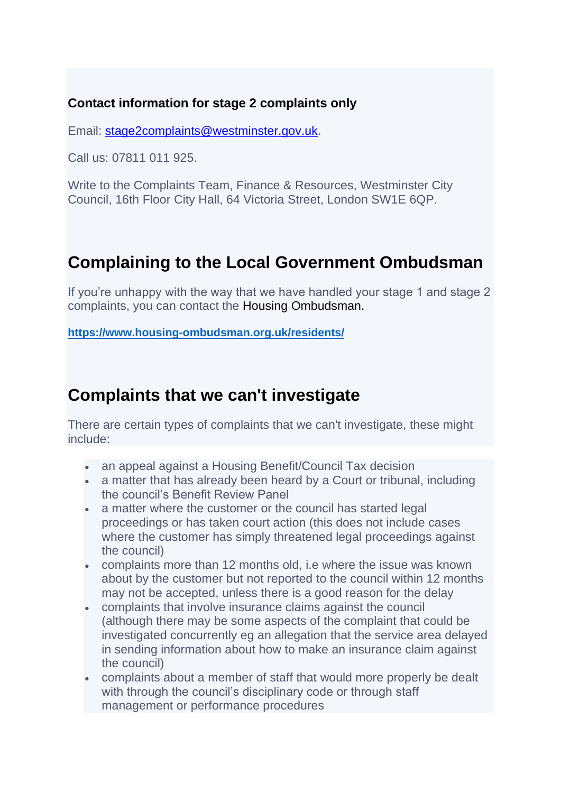### **Contact information for stage 2 complaints only**

Email: [stage2complaints@westminster.gov.uk.](mailto:stage2complaints@westminster.gov.uk)

Call us: 07811 011 925.

Write to the Complaints Team, Finance & Resources, Westminster City Council, 16th Floor City Hall, 64 Victoria Street, London SW1E 6QP.

# **Complaining to the Local Government Ombudsman**

If you're unhappy with the way that we have handled your stage 1 and stage 2 complaints, you can contact the Housing Ombudsman.

**<https://www.housing-ombudsman.org.uk/residents/>**

## **Complaints that we can't investigate**

There are certain types of complaints that we can't investigate, these might include:

- an appeal against a Housing Benefit/Council Tax decision
- a matter that has already been heard by a Court or tribunal, including the council's Benefit Review Panel
- a matter where the customer or the council has started legal proceedings or has taken court action (this does not include cases where the customer has simply threatened legal proceedings against the council)
- complaints more than 12 months old, i.e where the issue was known about by the customer but not reported to the council within 12 months may not be accepted, unless there is a good reason for the delay
- complaints that involve insurance claims against the council (although there may be some aspects of the complaint that could be investigated concurrently eg an allegation that the service area delayed in sending information about how to make an insurance claim against the council)
- complaints about a member of staff that would more properly be dealt with through the council's disciplinary code or through staff management or performance procedures